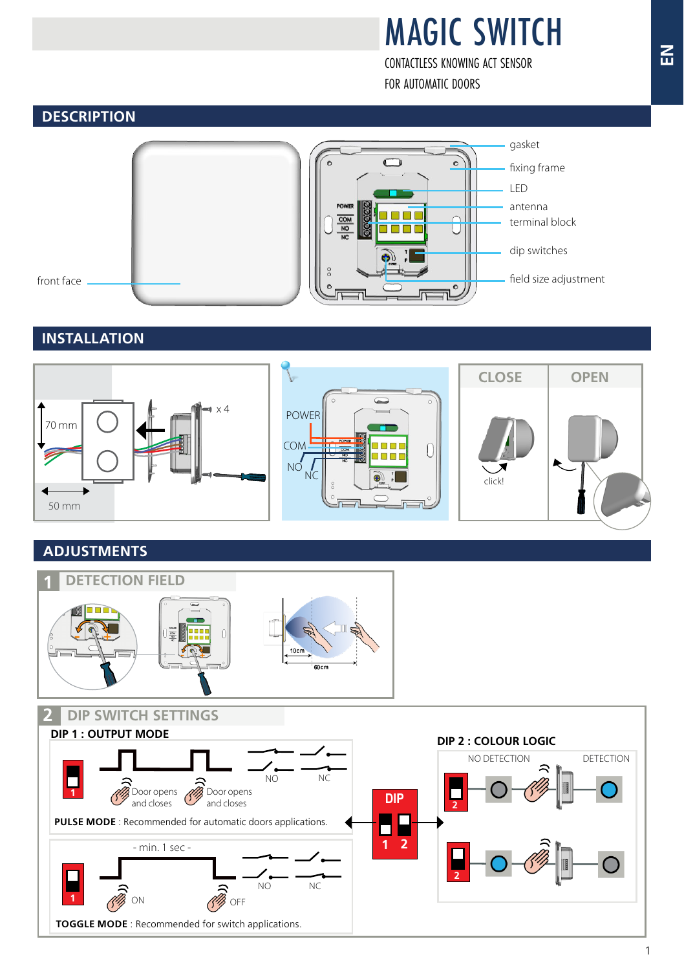# MAGIC SWITCH

CONTACTLESS KNOWING ACT SENSOR FOR AUTOMATIC DOORS

#### **DESCRIPTION**



### **INSTALLATION**



### **ADJUSTMENTS**